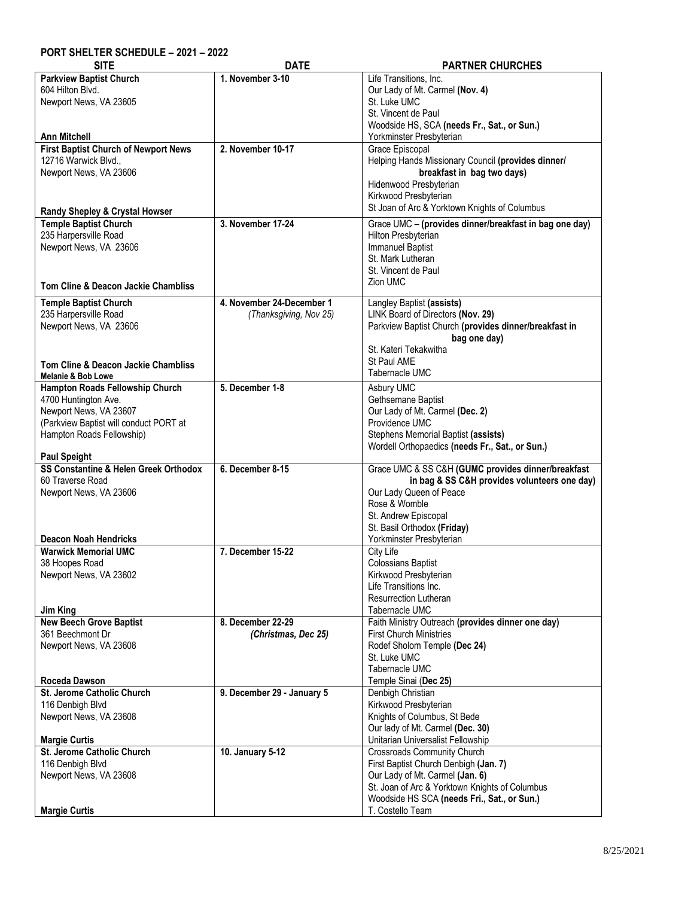## **PORT SHELTER SCHEDULE – 2021 – 2022**

| <b>SITE</b>                                                    | <b>DATE</b>                | <b>PARTNER CHURCHES</b>                                                  |
|----------------------------------------------------------------|----------------------------|--------------------------------------------------------------------------|
| <b>Parkview Baptist Church</b>                                 | 1. November 3-10           | Life Transitions, Inc.                                                   |
| 604 Hilton Blvd.                                               |                            | Our Lady of Mt. Carmel (Nov. 4)                                          |
| Newport News, VA 23605                                         |                            | St. Luke UMC                                                             |
|                                                                |                            | St. Vincent de Paul                                                      |
|                                                                |                            | Woodside HS, SCA (needs Fr., Sat., or Sun.)                              |
| <b>Ann Mitchell</b>                                            |                            | Yorkminster Presbyterian                                                 |
| <b>First Baptist Church of Newport News</b>                    | 2. November 10-17          | Grace Episcopal                                                          |
| 12716 Warwick Blvd.,                                           |                            | Helping Hands Missionary Council (provides dinner/                       |
| Newport News, VA 23606                                         |                            | breakfast in bag two days)                                               |
|                                                                |                            | Hidenwood Presbyterian                                                   |
|                                                                |                            | Kirkwood Presbyterian                                                    |
|                                                                |                            | St Joan of Arc & Yorktown Knights of Columbus                            |
| Randy Shepley & Crystal Howser<br><b>Temple Baptist Church</b> | 3. November 17-24          | Grace UMC - (provides dinner/breakfast in bag one day)                   |
| 235 Harpersville Road                                          |                            | Hilton Presbyterian                                                      |
| Newport News, VA 23606                                         |                            | <b>Immanuel Baptist</b>                                                  |
|                                                                |                            | St. Mark Lutheran                                                        |
|                                                                |                            | St. Vincent de Paul                                                      |
|                                                                |                            | Zion UMC                                                                 |
| Tom Cline & Deacon Jackie Chambliss                            |                            |                                                                          |
| <b>Temple Baptist Church</b>                                   | 4. November 24-December 1  | Langley Baptist (assists)                                                |
| 235 Harpersville Road                                          | (Thanksgiving, Nov 25)     | LINK Board of Directors (Nov. 29)                                        |
| Newport News, VA 23606                                         |                            | Parkview Baptist Church (provides dinner/breakfast in                    |
|                                                                |                            | bag one day)                                                             |
|                                                                |                            | St. Kateri Tekakwitha                                                    |
| <b>Tom Cline &amp; Deacon Jackie Chambliss</b>                 |                            | St Paul AME                                                              |
| Melanie & Bob Lowe                                             |                            | Tabernacle UMC                                                           |
| Hampton Roads Fellowship Church                                | 5. December 1-8            | Asbury UMC                                                               |
| 4700 Huntington Ave.                                           |                            | Gethsemane Baptist                                                       |
| Newport News, VA 23607                                         |                            | Our Lady of Mt. Carmel (Dec. 2)                                          |
| (Parkview Baptist will conduct PORT at                         |                            | Providence UMC                                                           |
| Hampton Roads Fellowship)                                      |                            | Stephens Memorial Baptist (assists)                                      |
|                                                                |                            | Wordell Orthopaedics (needs Fr., Sat., or Sun.)                          |
| <b>Paul Speight</b>                                            |                            |                                                                          |
| SS Constantine & Helen Greek Orthodox                          | 6. December 8-15           | Grace UMC & SS C&H (GUMC provides dinner/breakfast                       |
| 60 Traverse Road                                               |                            | in bag & SS C&H provides volunteers one day)                             |
| Newport News, VA 23606                                         |                            | Our Lady Queen of Peace                                                  |
|                                                                |                            | Rose & Womble                                                            |
|                                                                |                            | St. Andrew Episcopal                                                     |
|                                                                |                            | St. Basil Orthodox (Friday)                                              |
| <b>Deacon Noah Hendricks</b>                                   |                            | Yorkminster Presbyterian                                                 |
| <b>Warwick Memorial UMC</b>                                    | 7. December 15-22          | <b>City Life</b>                                                         |
| 38 Hoopes Road                                                 |                            | <b>Colossians Baptist</b>                                                |
| Newport News, VA 23602                                         |                            | Kirkwood Presbyterian                                                    |
|                                                                |                            | Life Transitions Inc.                                                    |
|                                                                |                            | <b>Resurrection Lutheran</b>                                             |
| Jim King                                                       |                            | Tabernacle UMC                                                           |
| <b>New Beech Grove Baptist</b>                                 | 8. December 22-29          | Faith Ministry Outreach (provides dinner one day)                        |
| 361 Beechmont Dr                                               | (Christmas, Dec 25)        | <b>First Church Ministries</b>                                           |
| Newport News, VA 23608                                         |                            | Rodef Sholom Temple (Dec 24)                                             |
|                                                                |                            | St. Luke UMC                                                             |
|                                                                |                            | Tabernacle UMC                                                           |
| Roceda Dawson                                                  |                            | Temple Sinai (Dec 25)                                                    |
| St. Jerome Catholic Church                                     | 9. December 29 - January 5 | Denbigh Christian                                                        |
| 116 Denbigh Blvd                                               |                            | Kirkwood Presbyterian                                                    |
| Newport News, VA 23608                                         |                            | Knights of Columbus, St Bede                                             |
|                                                                |                            | Our lady of Mt. Carmel (Dec. 30)                                         |
| <b>Margie Curtis</b>                                           |                            | Unitarian Universalist Fellowship                                        |
| St. Jerome Catholic Church                                     | 10. January 5-12           | Crossroads Community Church                                              |
| 116 Denbigh Blvd                                               |                            | First Baptist Church Denbigh (Jan. 7)<br>Our Lady of Mt. Carmel (Jan. 6) |
| Newport News, VA 23608                                         |                            | St. Joan of Arc & Yorktown Knights of Columbus                           |
|                                                                |                            | Woodside HS SCA (needs Fri., Sat., or Sun.)                              |
|                                                                |                            |                                                                          |
| <b>Margie Curtis</b>                                           |                            | T. Costello Team                                                         |